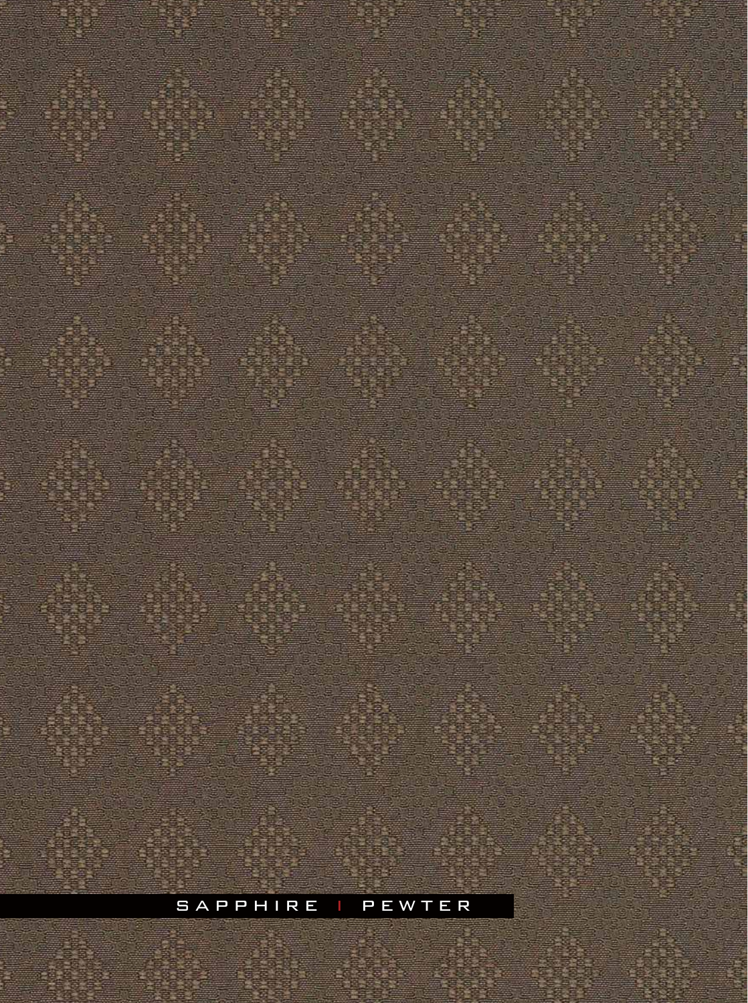## SAPPHIRE | PEWTER

S'8 8

蹮

Ξ.

澧

a sta di

**STERNE** 

n Jacog

Ŧ

重复图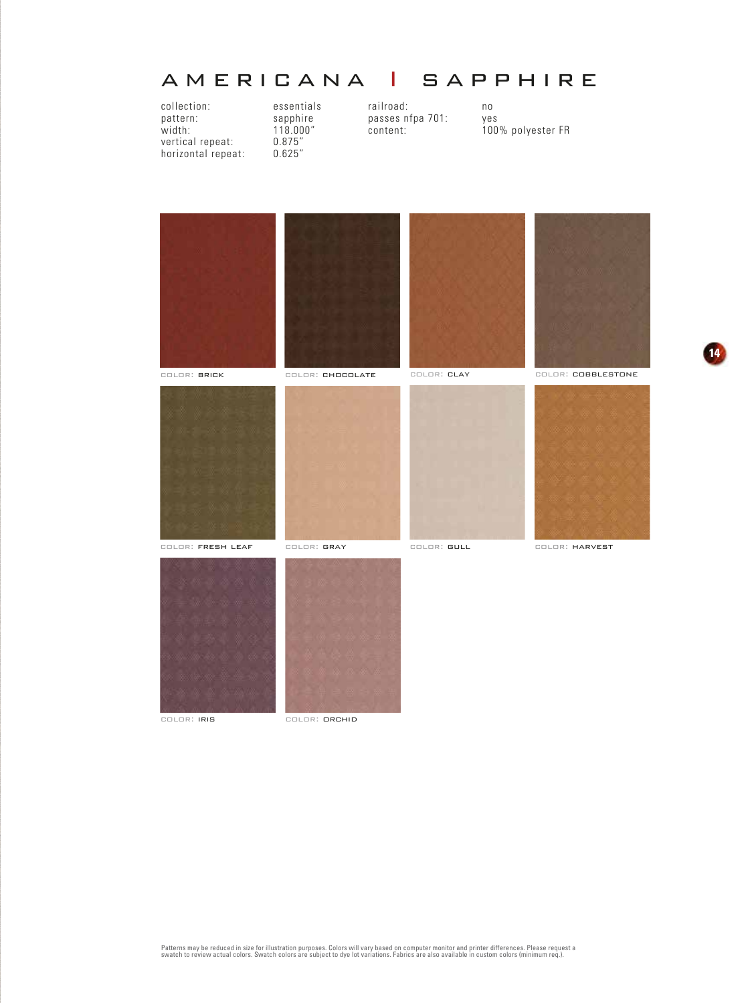## americana I sapphire

collection: essentials railroad: no<br>
pattern: sapphire passes nfpa 701: yes pattern: sapphire passes nfpa 701:<br>width: 118.000" content: vertical repeat: horizontal repeat:

118.000" content: 100% polyester FR<br>0.875" content: 100% polyester FR<br>0.625"



color: iris color: orchid



**14**

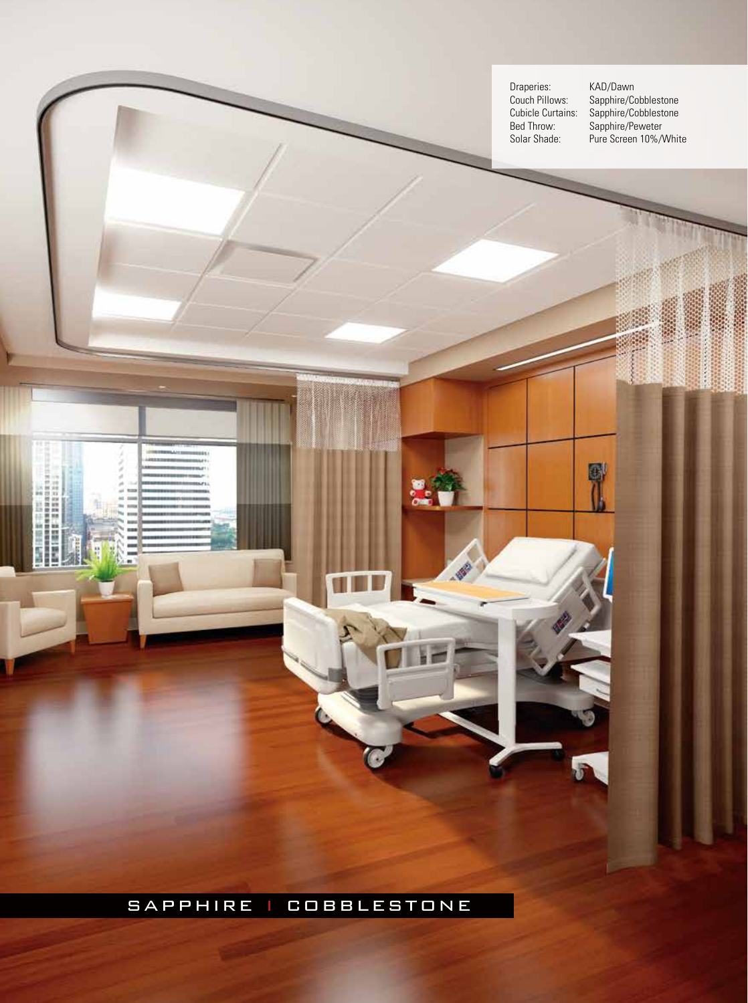Draperies:<br>Couch Pillows:<br>Cubicle Curtains:<br>Bed Throw: Bed Throw: Sapphire/Peweter

Couch Pillows: Sapphire/Cobblestone Cubicle Curtains: Sapphire/Cobblestone Solar Shade: Pure Screen 10%/White

G

R

## sapphire i cobblestone

ö